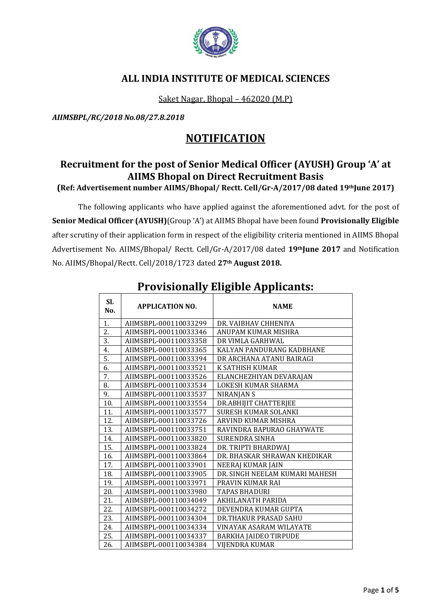

### **ALL INDIA INSTITUTE OF MEDICAL SCIENCES**

Saket Nagar, Bhopal – 462020 (M.P)

*AIIMSBPL/RC/2018 No.08/27.8.2018*

## **NOTIFICATION**

## **Recruitment for the post of Senior Medical Officer (AYUSH) Group 'A' at AIIMS Bhopal on Direct Recruitment Basis**

**(Ref: Advertisement number AIIMS/Bhopal/ Rectt. Cell/Gr-A/2017/08 dated 19thJune 2017)**

The following applicants who have applied against the aforementioned advt. for the post of **Senior Medical Officer (AYUSH)**(Group 'A') at AIIMS Bhopal have been found **Provisionally Eligible** after scrutiny of their application form in respect of the eligibility criteria mentioned in AIIMS Bhopal Advertisement No. AIIMS/Bhopal/ Rectt. Cell/Gr-A/2017/08 dated **19thJune 2017** and Notification No. AIIMS/Bhopal/Rectt. Cell/2018/1723 dated **27th August 2018.**

| SI.<br>No. | <b>APPLICATION NO.</b> | <b>NAME</b>                    |
|------------|------------------------|--------------------------------|
| 1.         | AIIMSBPL-000110033299  | DR. VAIBHAV CHHENIYA           |
| 2.         | AIIMSBPL-000110033346  | ANUPAM KUMAR MISHRA            |
| 3.         | AIIMSBPL-000110033358  | DR VIMLA GARHWAL               |
| 4.         | AIIMSBPL-000110033365  | KALYAN PANDURANG KADBHANE      |
| 5.         | AIIMSBPL-000110033394  | DR ARCHANA ATANU BAIRAGI       |
| 6.         | AIIMSBPL-000110033521  | K SATHISH KUMAR                |
| 7.         | AIIMSBPL-000110033526  | ELANCHEZHIYAN DEVARAJAN        |
| 8.         | AIIMSBPL-000110033534  | LOKESH KUMAR SHARMA            |
| 9.         | AIIMSBPL-000110033537  | NIRANJAN S                     |
| 10.        | AIIMSBPL-000110033554  | DR.ABHIJIT CHATTERJEE          |
| 11.        | AIIMSBPL-000110033577  | <b>SURESH KUMAR SOLANKI</b>    |
| 12.        | AIIMSBPL-000110033726  | ARVIND KUMAR MISHRA            |
| 13.        | AIIMSBPL-000110033751  | RAVINDRA BAPURAO GHAYWATE      |
| 14.        | AIIMSBPL-000110033820  | <b>SURENDRA SINHA</b>          |
| 15.        | AIIMSBPL-000110033824  | DR. TRIPTI BHARDWAJ            |
| 16.        | AIIMSBPL-000110033864  | DR. BHASKAR SHRAWAN KHEDIKAR   |
| 17.        | AIIMSBPL-000110033901  | NEERAJ KUMAR JAIN              |
| 18.        | AIIMSBPL-000110033905  | DR. SINGH NEELAM KUMARI MAHESH |
| 19.        | AIIMSBPL-000110033971  | PRAVIN KUMAR RAI               |
| 20.        | AIIMSBPL-000110033980  | <b>TAPAS BHADURI</b>           |
| 21.        | AIIMSBPL-000110034049  | AKHILANATH PARIDA              |
| 22.        | AIIMSBPL-000110034272  | DEVENDRA KUMAR GUPTA           |
| 23.        | AIIMSBPL-000110034304  | DR.THAKUR PRASAD SAHU          |
| 24.        | AIIMSBPL-000110034334  | VINAYAK ASARAM WILAYATE        |
| 25.        | AIIMSBPL-000110034337  | <b>BARKHA JAIDEO TIRPUDE</b>   |
| 26.        | AIIMSBPL-000110034384  | <b>VIJENDRA KUMAR</b>          |

# **Provisionally Eligible Applicants:**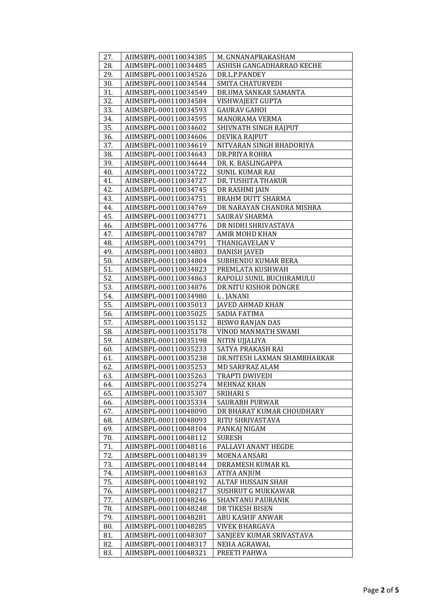| 27.        | AIIMSBPL-000110034385                          | M. GNNANAPRAKASHAM                  |
|------------|------------------------------------------------|-------------------------------------|
| 28.        | AIIMSBPL-000110034485                          | ASHISH GANGADHARRAO KECHE           |
| 29.        | AIIMSBPL-000110034526                          | DR.L.P.PANDEY                       |
| 30.        | AIIMSBPL-000110034544                          | SMITA CHATURVEDI                    |
| 31.        | AIIMSBPL-000110034549                          | DR.UMA SANKAR SAMANTA               |
| 32.        | AIIMSBPL-000110034584                          | VISHWAJEET GUPTA                    |
| 33.        | AIIMSBPL-000110034593                          | <b>GAURAV GAHOI</b>                 |
| 34.        | AIIMSBPL-000110034595                          | MANORAMA VERMA                      |
| 35.        | AIIMSBPL-000110034602                          | SHIVNATH SINGH RAJPUT               |
| 36.        | AIIMSBPL-000110034606                          | DEVIKA RAJPUT                       |
| 37.        | AIIMSBPL-000110034619                          | NITVARAN SINGH BHADORIYA            |
| 38.        | AIIMSBPL-000110034643                          | DR.PRIYA ROHRA                      |
| 39.        | AIIMSBPL-000110034644                          | DR. K. BASLINGAPPA                  |
| 40.        | AIIMSBPL-000110034722                          | SUNIL KUMAR RAI                     |
| 41.        | AIIMSBPL-000110034727                          | DR. TUSHITA THAKUR                  |
| 42.        | AIIMSBPL-000110034745                          | DR RASHMI JAIN                      |
| 43.        | AIIMSBPL-000110034751                          | BRAHM DUTT SHARMA                   |
| 44.        | AIIMSBPL-000110034769                          | DR NARAYAN CHANDRA MISHRA           |
| 45.        | AIIMSBPL-000110034771                          | SAURAV SHARMA                       |
| 46.        | AIIMSBPL-000110034776                          | DR NIDHI SHRIVASTAVA                |
| 47.        | AIIMSBPL-000110034787                          | AMIR MOHD KHAN                      |
| 48.        | AIIMSBPL-000110034791                          | THANIGAVELAN V                      |
| 49.        | AIIMSBPL-000110034803                          | DANISH JAVED                        |
| 50.        | AIIMSBPL-000110034804                          | SUBHENDU KUMAR BERA                 |
| 51.        | AIIMSBPL-000110034823                          | PREMLATA KUSHWAH                    |
| 52.        | AIIMSBPL-000110034863                          | RAPOLU SUNIL BUCHIRAMULU            |
| 53.        | AIIMSBPL-000110034876                          | DR.NITU KISHOR DONGRE               |
| 54.        | AIIMSBPL-000110034980                          | L. JANANI                           |
| 55.        | AIIMSBPL-000110035013                          | <b>JAVED AHMAD KHAN</b>             |
| 56.        | AIIMSBPL-000110035025                          | SADIA FATIMA                        |
| 57.        | AIIMSBPL-000110035132                          | BISWO RANJAN DAS                    |
| 58.        | AIIMSBPL-000110035178                          | VINOD MANMATH SWAMI                 |
| 59.<br>60. | AIIMSBPL-000110035198<br>AIIMSBPL-000110035233 | NITIN UJJALIYA<br>SATYA PRAKASH RAI |
| 61.        | AIIMSBPL-000110035238                          | DR.NITESH LAXMAN SHAMBHARKAR        |
| 62.        | AIIMSBPL-000110035253                          | MD SARFRAZ ALAM                     |
| 63.        | AIIMSBPL-000110035263                          | TRAPTI DWIVEDI                      |
| 64.        | AIIMSBPL-000110035274                          | MEHNAZ KHAN                         |
| 65.        | AIIMSBPL-000110035307                          | <b>SRIHARI S</b>                    |
| 66.        | AIIMSBPL-000110035334                          | SAURABH PURWAR                      |
| 67.        | AIIMSBPL-000110048090                          | DR BHARAT KUMAR CHOUDHARY           |
| 68.        | AIIMSBPL-000110048093                          | RITU SHRIVASTAVA                    |
| 69.        | AIIMSBPL-000110048104                          | PANKAJ NIGAM                        |
| 70.        | AIIMSBPL-000110048112                          | <b>SURESH</b>                       |
| 71.        | AIIMSBPL-000110048116                          | PALLAVI ANANT HEGDE                 |
| 72.        | AIIMSBPL-000110048139                          | MOENA ANSARI                        |
| 73.        | AIIMSBPL-000110048144                          | DRRAMESH KUMAR KL                   |
| 74.        | AIIMSBPL-000110048163                          | ATIYA ANJUM                         |
| 75.        | AIIMSBPL-000110048192                          | ALTAF HUSSAIN SHAH                  |
| 76.        | AIIMSBPL-000110048217                          | SUSHRUT G MUKKAWAR                  |
| 77.        | AIIMSBPL-000110048246                          | SHANTANU PAURANIK                   |
| 78.        | AIIMSBPL-000110048248                          | DR TIKESH BISEN                     |
| 79.        | AIIMSBPL-000110048281                          | ABU KASHIF ANWAR                    |
| 80.        | AIIMSBPL-000110048285                          | <b>VIVEK BHARGAVA</b>               |
| 81.        | AIIMSBPL-000110048307                          | SANJEEV KUMAR SRIVASTAVA            |
| 82.        | AIIMSBPL-000110048317                          | NEHA AGRAWAL                        |
| 83.        | AIIMSBPL-000110048321                          | PREETI PAHWA                        |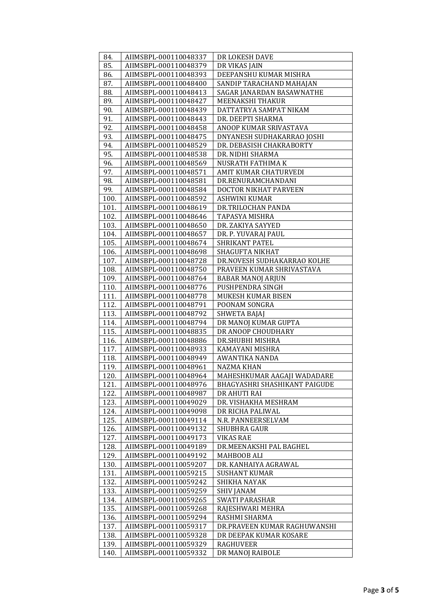| 84.          | AIIMSBPL-000110048337                          | DR LOKESH DAVE                           |
|--------------|------------------------------------------------|------------------------------------------|
| 85.          | AIIMSBPL-000110048379                          | DR VIKAS JAIN                            |
| 86.          | AIIMSBPL-000110048393                          | DEEPANSHU KUMAR MISHRA                   |
| 87.          | AIIMSBPL-000110048400                          | SANDIP TARACHAND MAHAJAN                 |
| 88.          | AIIMSBPL-000110048413                          | SAGAR JANARDAN BASAWNATHE                |
| 89.          | AIIMSBPL-000110048427                          | MEENAKSHI THAKUR                         |
| 90.          | AIIMSBPL-000110048439                          | DATTATRYA SAMPAT NIKAM                   |
| 91.          | AIIMSBPL-000110048443                          | DR. DEEPTI SHARMA                        |
| 92.          | AIIMSBPL-000110048458                          | ANOOP KUMAR SRIVASTAVA                   |
| 93.          | AIIMSBPL-000110048475                          | DNYANESH SUDHAKARRAO JOSHI               |
| 94.          | AIIMSBPL-000110048529                          | DR. DEBASISH CHAKRABORTY                 |
| 95.          | AIIMSBPL-000110048538                          | DR. NIDHI SHARMA                         |
| 96.          | AIIMSBPL-000110048569                          | NUSRATH FATHIMA K                        |
| 97.          | AIIMSBPL-000110048571                          | AMIT KUMAR CHATURVEDI                    |
| 98.          | AIIMSBPL-000110048581                          | DR.RENURAMCHANDANI                       |
| 99.          | AIIMSBPL-000110048584                          | DOCTOR NIKHAT PARVEEN                    |
| 100.         | AIIMSBPL-000110048592                          | ASHWINI KUMAR                            |
| 101.         | AIIMSBPL-000110048619                          | DR.TRILOCHAN PANDA                       |
| 102.         | AIIMSBPL-000110048646                          | TAPASYA MISHRA                           |
| 103.         | AIIMSBPL-000110048650                          | DR. ZAKIYA SAYYED                        |
| 104.         | AIIMSBPL-000110048657                          | DR. P. YUVARAJ PAUL                      |
| 105.         | AIIMSBPL-000110048674                          | SHRIKANT PATEL                           |
| 106.         | AIIMSBPL-000110048698                          | <b>SHAGUFTA NIKHAT</b>                   |
| 107.         | AIIMSBPL-000110048728                          | DR.NOVESH SUDHAKARRAO KOLHE              |
| 108.         | AIIMSBPL-000110048750                          | PRAVEEN KUMAR SHRIVASTAVA                |
| 109.         | AIIMSBPL-000110048764                          | BABAR MANOJ ARJUN                        |
| 110.         | AIIMSBPL-000110048776                          | PUSHPENDRA SINGH                         |
| 111.         | AIIMSBPL-000110048778                          | MUKESH KUMAR BISEN                       |
| 112.         | AIIMSBPL-000110048791                          | POONAM SONGRA                            |
| 113.         | AIIMSBPL-000110048792                          | SHWETA BAJAJ                             |
| 114.         | AIIMSBPL-000110048794                          | DR MANOJ KUMAR GUPTA                     |
| 115.         | AIIMSBPL-000110048835                          | DR ANOOP CHOUDHARY                       |
| 116.         | AIIMSBPL-000110048886                          | DR.SHUBHI MISHRA                         |
| 117.         | AIIMSBPL-000110048933                          | KAMAYANI MISHRA                          |
| 118.         | AIIMSBPL-000110048949                          | AWANTIKA NANDA                           |
| 119.         | AIIMSBPL-000110048961                          | NAZMA KHAN                               |
| 120.         | AIIMSBPL-000110048964                          | MAHESHKUMAR AAGAJI WADADARE              |
| 121.         | AIIMSBPL-000110048976                          | BHAGYASHRI SHASHIKANT PAIGUDE            |
| 122.         | AIIMSBPL-000110048987                          | DR AHUTI RAI                             |
| 123.<br>124. | AIIMSBPL-000110049029<br>AIIMSBPL-000110049098 | DR. VISHAKHA MESHRAM<br>DR RICHA PALIWAL |
| 125.         | AIIMSBPL-000110049114                          | N.R. PANNEERSELVAM                       |
| 126.         | AIIMSBPL-000110049132                          | SHUBHRA GAUR                             |
| 127.         | AIIMSBPL-000110049173                          | <b>VIKAS RAE</b>                         |
| 128.         | AIIMSBPL-000110049189                          | DR.MEENAKSHI PAL BAGHEL                  |
| 129.         | AIIMSBPL-000110049192                          | MAHBOOB ALI                              |
| 130.         | AIIMSBPL-000110059207                          | DR. KANHAIYA AGRAWAL                     |
| 131.         | AIIMSBPL-000110059215                          | <b>SUSHANT KUMAR</b>                     |
| 132.         | AIIMSBPL-000110059242                          | SHIKHA NAYAK                             |
| 133.         | AIIMSBPL-000110059259                          | SHIV JANAM                               |
| 134.         | AIIMSBPL-000110059265                          | SWATI PARASHAR                           |
| 135.         | AIIMSBPL-000110059268                          | RAJESHWARI MEHRA                         |
| 136.         | AIIMSBPL-000110059294                          | RASHMI SHARMA                            |
| 137.         | AIIMSBPL-000110059317                          | DR.PRAVEEN KUMAR RAGHUWANSHI             |
| 138.         | AIIMSBPL-000110059328                          | DR DEEPAK KUMAR KOSARE                   |
| 139.         | AIIMSBPL-000110059329                          | RAGHUVEER                                |
| 140.         | AIIMSBPL-000110059332                          | DR MANOJ RAIBOLE                         |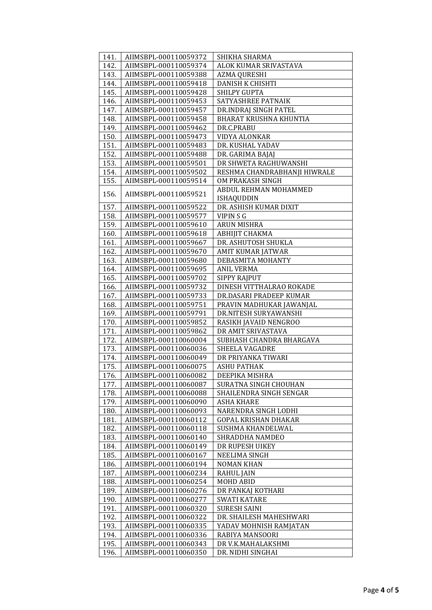| 141.         | AIIMSBPL-000110059372                          | SHIKHA SHARMA                              |
|--------------|------------------------------------------------|--------------------------------------------|
| 142.         | AIIMSBPL-000110059374                          | ALOK KUMAR SRIVASTAVA                      |
| 143.         | AIIMSBPL-000110059388                          | AZMA QURESHI                               |
| 144.         | AIIMSBPL-000110059418                          | DANISH K CHISHTI                           |
| 145.         | AIIMSBPL-000110059428                          | SHILPY GUPTA                               |
| 146.         | AIIMSBPL-000110059453                          | SATYASHREE PATNAIK                         |
| 147.         | AIIMSBPL-000110059457                          | DR.INDRAJ SINGH PATEL                      |
| 148.         | AIIMSBPL-000110059458                          | BHARAT KRUSHNA KHUNTIA                     |
| 149.         | AIIMSBPL-000110059462                          | DR.C.PRABU                                 |
| 150.         | AIIMSBPL-000110059473                          | VIDYA ALONKAR                              |
| 151.         | AIIMSBPL-000110059483                          | DR. KUSHAL YADAV                           |
| 152.         | AIIMSBPL-000110059488                          | DR. GARIMA BAJAJ                           |
| 153.         | AIIMSBPL-000110059501                          | DR SHWETA RAGHUWANSHI                      |
| 154.         | AIIMSBPL-000110059502                          | RESHMA CHANDRABHANJI HIWRALE               |
| 155.         | AIIMSBPL-000110059514                          | OM PRAKASH SINGH                           |
| 156.         | AIIMSBPL-000110059521                          | ABDUL REHMAN MOHAMMED                      |
|              |                                                | <b>ISHAQUDDIN</b>                          |
| 157.         | AIIMSBPL-000110059522                          | DR. ASHISH KUMAR DIXIT                     |
| 158.         | AIIMSBPL-000110059577                          | VIPIN S G                                  |
| 159.         | AIIMSBPL-000110059610                          | <b>ARUN MISHRA</b>                         |
| 160.         | AIIMSBPL-000110059618                          | ABHIJIT CHAKMA                             |
| 161.         | AIIMSBPL-000110059667                          | DR. ASHUTOSH SHUKLA                        |
| 162.         | AIIMSBPL-000110059670                          | AMIT KUMAR JATWAR                          |
| 163.         | AIIMSBPL-000110059680                          | DEBASMITA MOHANTY                          |
| 164.         | AIIMSBPL-000110059695                          | <b>ANIL VERMA</b>                          |
| 165.         | AIIMSBPL-000110059702                          | SIPPY RAJPUT                               |
| 166.         | AIIMSBPL-000110059732                          | DINESH VITTHALRAO ROKADE                   |
| 167.         | AIIMSBPL-000110059733                          | DR.DASARI PRADEEP KUMAR                    |
| 168.         | AIIMSBPL-000110059751                          | PRAVIN MADHUKAR JAWANJAL                   |
| 169.         | AIIMSBPL-000110059791                          | DR.NITESH SURYAWANSHI                      |
| 170.         | AIIMSBPL-000110059852                          | RASIKH JAVAID NENGROO                      |
| 171.         | AIIMSBPL-000110059862                          | DR AMIT SRIVASTAVA                         |
| 172.<br>173. | AIIMSBPL-000110060004<br>AIIMSBPL-000110060036 | SUBHASH CHANDRA BHARGAVA<br>SHEELA VAGADRE |
| 174.         | AIIMSBPL-000110060049                          | DR PRIYANKA TIWARI                         |
| 175.         | AIIMSBPL-000110060075                          | <b>ASHU PATHAK</b>                         |
| 176.         | AIIMSBPL-000110060082                          | DEEPIKA MISHRA                             |
| 177.         | AIIMSBPL-000110060087                          | SURATNA SINGH CHOUHAN                      |
| 178.         | AIIMSBPL-000110060088                          | SHAILENDRA SINGH SENGAR                    |
| 179.         | AIIMSBPL-000110060090                          | <b>ASHA KHARE</b>                          |
| 180.         | AIIMSBPL-000110060093                          | NARENDRA SINGH LODHI                       |
| 181.         | AIIMSBPL-000110060112                          | <b>GOPAL KRISHAN DHAKAR</b>                |
| 182.         | AIIMSBPL-000110060118                          | SUSHMA KHANDELWAL                          |
| 183.         | AIIMSBPL-000110060140                          | SHRADDHA NAMDEO                            |
| 184.         | AIIMSBPL-000110060149                          | DR RUPESH UIKEY                            |
| 185.         | AIIMSBPL-000110060167                          | NEELIMA SINGH                              |
| 186.         | AIIMSBPL-000110060194                          | <b>NOMAN KHAN</b>                          |
| 187.         | AIIMSBPL-000110060234                          | <b>RAHUL JAIN</b>                          |
| 188.         | AIIMSBPL-000110060254                          | MOHD ABID                                  |
| 189.         | AIIMSBPL-000110060276                          | DR PANKAJ KOTHARI                          |
| 190.         | AIIMSBPL-000110060277                          | <b>SWATI KATARE</b>                        |
| 191.         | AIIMSBPL-000110060320                          | <b>SURESH SAINI</b>                        |
| 192.         | AIIMSBPL-000110060322                          | DR. SHAILESH MAHESHWARI                    |
| 193.         | AIIMSBPL-000110060335                          | YADAV MOHNISH RAMJATAN                     |
| 194.         | AIIMSBPL-000110060336                          | RABIYA MANSOORI                            |
| 195.         | AIIMSBPL-000110060343                          | DR V.K.MAHALAKSHMI                         |
| 196.         | AIIMSBPL-000110060350                          | DR. NIDHI SINGHAI                          |